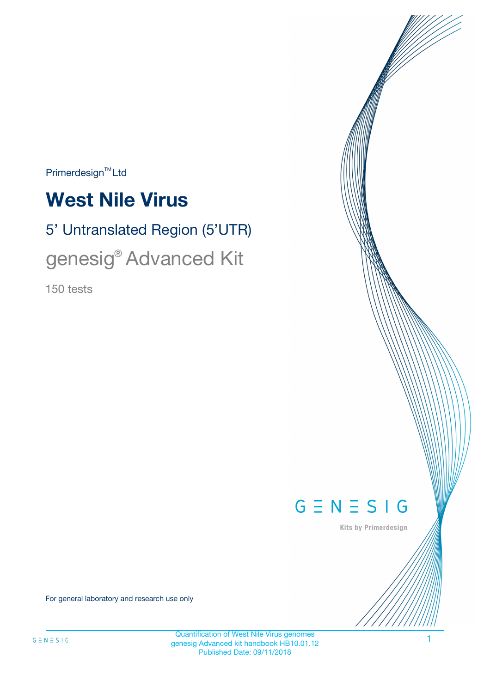$Primerdesign^{\text{TM}}Ltd$ 

# **West Nile Virus**

# 5' Untranslated Region (5'UTR)

# genesig® Advanced Kit

150 tests



Kits by Primerdesign

For general laboratory and research use only

1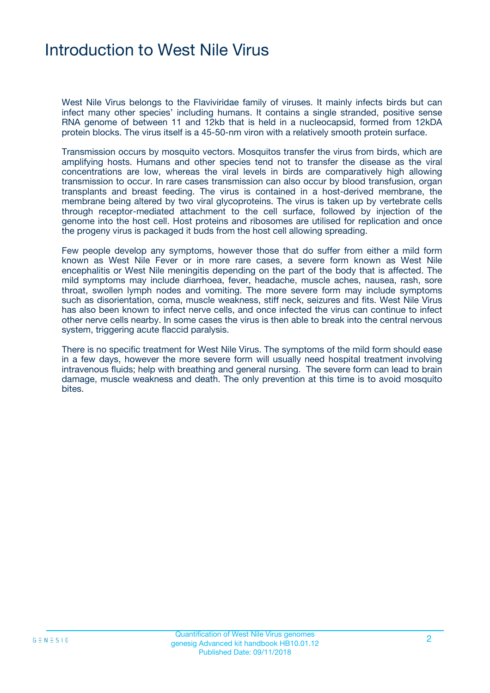### Introduction to West Nile Virus

West Nile Virus belongs to the Flaviviridae family of viruses. It mainly infects birds but can infect many other species' including humans. It contains a single stranded, positive sense RNA genome of between 11 and 12kb that is held in a nucleocapsid, formed from 12kDA protein blocks. The virus itself is a 45-50-nm viron with a relatively smooth protein surface.

Transmission occurs by mosquito vectors. Mosquitos transfer the virus from birds, which are amplifying hosts. Humans and other species tend not to transfer the disease as the viral concentrations are low, whereas the viral levels in birds are comparatively high allowing transmission to occur. In rare cases transmission can also occur by blood transfusion, organ transplants and breast feeding. The virus is contained in a host-derived membrane, the membrane being altered by two viral glycoproteins. The virus is taken up by vertebrate cells through receptor-mediated attachment to the cell surface, followed by injection of the genome into the host cell. Host proteins and ribosomes are utilised for replication and once the progeny virus is packaged it buds from the host cell allowing spreading.

Few people develop any symptoms, however those that do suffer from either a mild form known as West Nile Fever or in more rare cases, a severe form known as West Nile encephalitis or West Nile meningitis depending on the part of the body that is affected. The mild symptoms may include diarrhoea, fever, headache, muscle aches, nausea, rash, sore throat, swollen lymph nodes and vomiting. The more severe form may include symptoms such as disorientation, coma, muscle weakness, stiff neck, seizures and fits. West Nile Virus has also been known to infect nerve cells, and once infected the virus can continue to infect other nerve cells nearby. In some cases the virus is then able to break into the central nervous system, triggering acute flaccid paralysis.

There is no specific treatment for West Nile Virus. The symptoms of the mild form should ease in a few days, however the more severe form will usually need hospital treatment involving intravenous fluids; help with breathing and general nursing. The severe form can lead to brain damage, muscle weakness and death. The only prevention at this time is to avoid mosquito bites.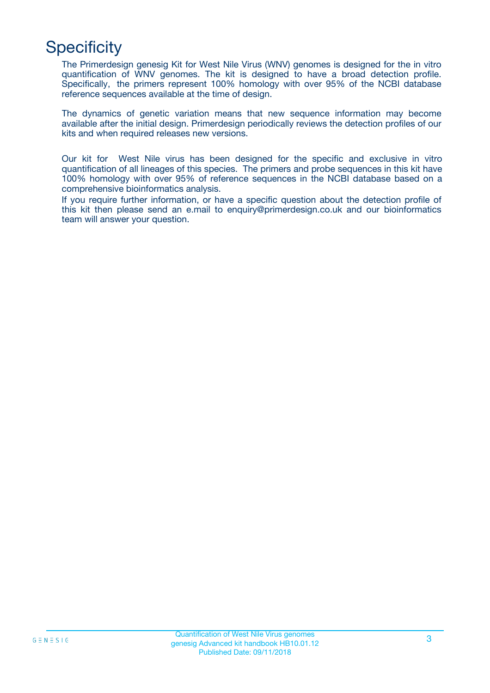## **Specificity**

The Primerdesign genesig Kit for West Nile Virus (WNV) genomes is designed for the in vitro quantification of WNV genomes. The kit is designed to have a broad detection profile. Specifically, the primers represent 100% homology with over 95% of the NCBI database reference sequences available at the time of design.

The dynamics of genetic variation means that new sequence information may become available after the initial design. Primerdesign periodically reviews the detection profiles of our kits and when required releases new versions.

Our kit for West Nile virus has been designed for the specific and exclusive in vitro quantification of all lineages of this species. The primers and probe sequences in this kit have 100% homology with over 95% of reference sequences in the NCBI database based on a comprehensive bioinformatics analysis.

If you require further information, or have a specific question about the detection profile of this kit then please send an e.mail to enquiry@primerdesign.co.uk and our bioinformatics team will answer your question.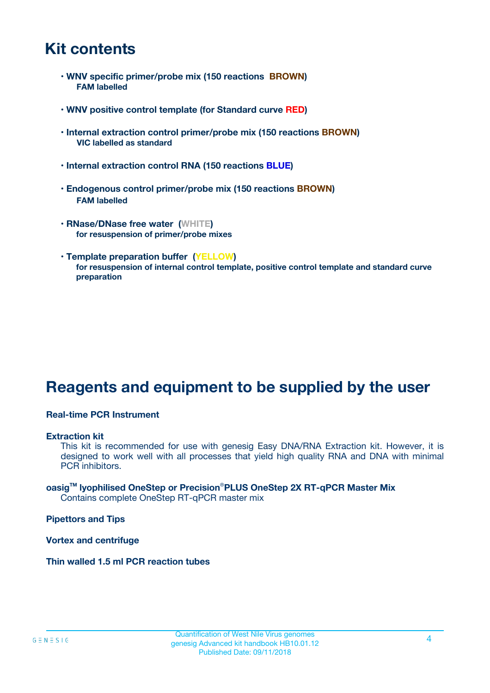### **Kit contents**

- **WNV specific primer/probe mix (150 reactions BROWN) FAM labelled**
- **WNV positive control template (for Standard curve RED)**
- **Internal extraction control primer/probe mix (150 reactions BROWN) VIC labelled as standard**
- **Internal extraction control RNA (150 reactions BLUE)**
- **Endogenous control primer/probe mix (150 reactions BROWN) FAM labelled**
- **RNase/DNase free water (WHITE) for resuspension of primer/probe mixes**
- **Template preparation buffer (YELLOW) for resuspension of internal control template, positive control template and standard curve preparation**

### **Reagents and equipment to be supplied by the user**

#### **Real-time PCR Instrument**

#### **Extraction kit**

This kit is recommended for use with genesig Easy DNA/RNA Extraction kit. However, it is designed to work well with all processes that yield high quality RNA and DNA with minimal PCR inhibitors.

#### **oasigTM lyophilised OneStep or Precision**®**PLUS OneStep 2X RT-qPCR Master Mix** Contains complete OneStep RT-qPCR master mix

**Pipettors and Tips**

**Vortex and centrifuge**

**Thin walled 1.5 ml PCR reaction tubes**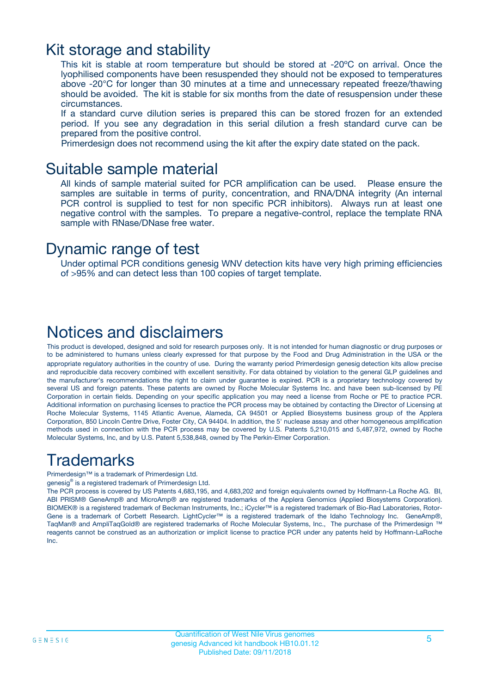### Kit storage and stability

This kit is stable at room temperature but should be stored at -20ºC on arrival. Once the lyophilised components have been resuspended they should not be exposed to temperatures above -20°C for longer than 30 minutes at a time and unnecessary repeated freeze/thawing should be avoided. The kit is stable for six months from the date of resuspension under these circumstances.

If a standard curve dilution series is prepared this can be stored frozen for an extended period. If you see any degradation in this serial dilution a fresh standard curve can be prepared from the positive control.

Primerdesign does not recommend using the kit after the expiry date stated on the pack.

### Suitable sample material

All kinds of sample material suited for PCR amplification can be used. Please ensure the samples are suitable in terms of purity, concentration, and RNA/DNA integrity (An internal PCR control is supplied to test for non specific PCR inhibitors). Always run at least one negative control with the samples. To prepare a negative-control, replace the template RNA sample with RNase/DNase free water.

### Dynamic range of test

Under optimal PCR conditions genesig WNV detection kits have very high priming efficiencies of >95% and can detect less than 100 copies of target template.

### Notices and disclaimers

This product is developed, designed and sold for research purposes only. It is not intended for human diagnostic or drug purposes or to be administered to humans unless clearly expressed for that purpose by the Food and Drug Administration in the USA or the appropriate regulatory authorities in the country of use. During the warranty period Primerdesign genesig detection kits allow precise and reproducible data recovery combined with excellent sensitivity. For data obtained by violation to the general GLP guidelines and the manufacturer's recommendations the right to claim under guarantee is expired. PCR is a proprietary technology covered by several US and foreign patents. These patents are owned by Roche Molecular Systems Inc. and have been sub-licensed by PE Corporation in certain fields. Depending on your specific application you may need a license from Roche or PE to practice PCR. Additional information on purchasing licenses to practice the PCR process may be obtained by contacting the Director of Licensing at Roche Molecular Systems, 1145 Atlantic Avenue, Alameda, CA 94501 or Applied Biosystems business group of the Applera Corporation, 850 Lincoln Centre Drive, Foster City, CA 94404. In addition, the 5' nuclease assay and other homogeneous amplification methods used in connection with the PCR process may be covered by U.S. Patents 5,210,015 and 5,487,972, owned by Roche Molecular Systems, Inc, and by U.S. Patent 5,538,848, owned by The Perkin-Elmer Corporation.

### Trademarks

Primerdesign™ is a trademark of Primerdesign Ltd.

genesig® is a registered trademark of Primerdesign Ltd.

The PCR process is covered by US Patents 4,683,195, and 4,683,202 and foreign equivalents owned by Hoffmann-La Roche AG. BI, ABI PRISM® GeneAmp® and MicroAmp® are registered trademarks of the Applera Genomics (Applied Biosystems Corporation). BIOMEK® is a registered trademark of Beckman Instruments, Inc.; iCycler™ is a registered trademark of Bio-Rad Laboratories, Rotor-Gene is a trademark of Corbett Research. LightCycler™ is a registered trademark of the Idaho Technology Inc. GeneAmp®, TaqMan® and AmpliTaqGold® are registered trademarks of Roche Molecular Systems, Inc., The purchase of the Primerdesign ™ reagents cannot be construed as an authorization or implicit license to practice PCR under any patents held by Hoffmann-LaRoche Inc.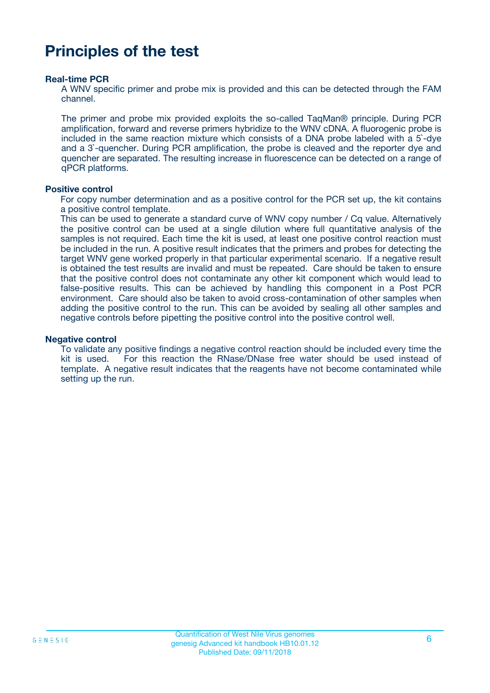### **Principles of the test**

#### **Real-time PCR**

A WNV specific primer and probe mix is provided and this can be detected through the FAM channel.

The primer and probe mix provided exploits the so-called TaqMan® principle. During PCR amplification, forward and reverse primers hybridize to the WNV cDNA. A fluorogenic probe is included in the same reaction mixture which consists of a DNA probe labeled with a 5`-dye and a 3`-quencher. During PCR amplification, the probe is cleaved and the reporter dye and quencher are separated. The resulting increase in fluorescence can be detected on a range of qPCR platforms.

#### **Positive control**

For copy number determination and as a positive control for the PCR set up, the kit contains a positive control template.

This can be used to generate a standard curve of WNV copy number / Cq value. Alternatively the positive control can be used at a single dilution where full quantitative analysis of the samples is not required. Each time the kit is used, at least one positive control reaction must be included in the run. A positive result indicates that the primers and probes for detecting the target WNV gene worked properly in that particular experimental scenario. If a negative result is obtained the test results are invalid and must be repeated. Care should be taken to ensure that the positive control does not contaminate any other kit component which would lead to false-positive results. This can be achieved by handling this component in a Post PCR environment. Care should also be taken to avoid cross-contamination of other samples when adding the positive control to the run. This can be avoided by sealing all other samples and negative controls before pipetting the positive control into the positive control well.

#### **Negative control**

To validate any positive findings a negative control reaction should be included every time the kit is used. For this reaction the RNase/DNase free water should be used instead of template. A negative result indicates that the reagents have not become contaminated while setting up the run.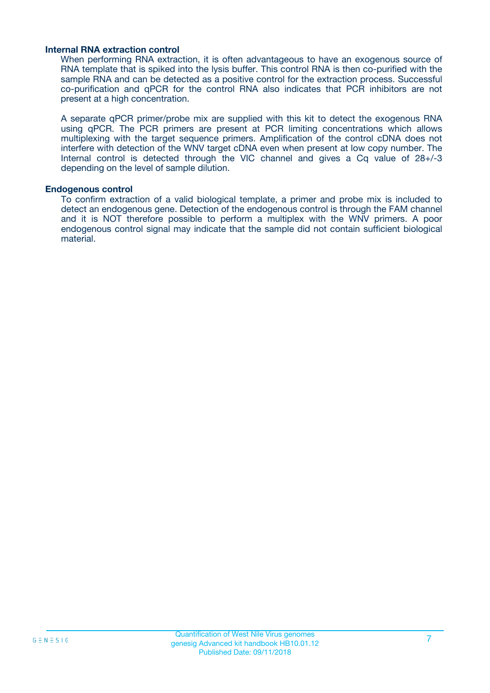#### **Internal RNA extraction control**

When performing RNA extraction, it is often advantageous to have an exogenous source of RNA template that is spiked into the lysis buffer. This control RNA is then co-purified with the sample RNA and can be detected as a positive control for the extraction process. Successful co-purification and qPCR for the control RNA also indicates that PCR inhibitors are not present at a high concentration.

A separate qPCR primer/probe mix are supplied with this kit to detect the exogenous RNA using qPCR. The PCR primers are present at PCR limiting concentrations which allows multiplexing with the target sequence primers. Amplification of the control cDNA does not interfere with detection of the WNV target cDNA even when present at low copy number. The Internal control is detected through the VIC channel and gives a Cq value of 28+/-3 depending on the level of sample dilution.

#### **Endogenous control**

To confirm extraction of a valid biological template, a primer and probe mix is included to detect an endogenous gene. Detection of the endogenous control is through the FAM channel and it is NOT therefore possible to perform a multiplex with the WNV primers. A poor endogenous control signal may indicate that the sample did not contain sufficient biological material.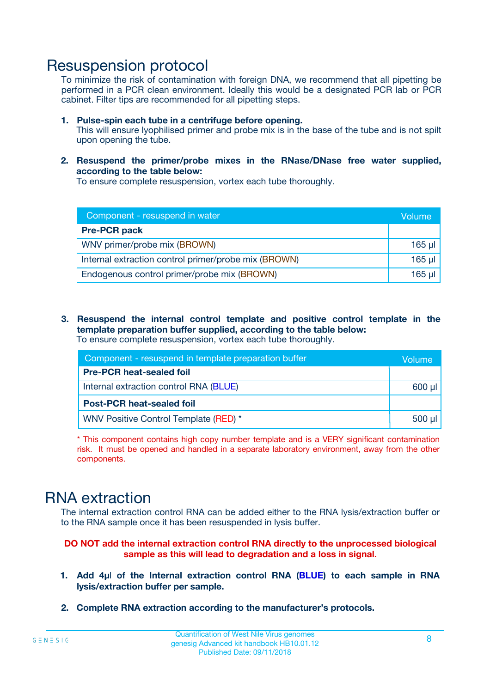### Resuspension protocol

To minimize the risk of contamination with foreign DNA, we recommend that all pipetting be performed in a PCR clean environment. Ideally this would be a designated PCR lab or PCR cabinet. Filter tips are recommended for all pipetting steps.

- **1. Pulse-spin each tube in a centrifuge before opening.** This will ensure lyophilised primer and probe mix is in the base of the tube and is not spilt upon opening the tube.
- **2. Resuspend the primer/probe mixes in the RNase/DNase free water supplied, according to the table below:**

To ensure complete resuspension, vortex each tube thoroughly.

| Component - resuspend in water                       |          |  |
|------------------------------------------------------|----------|--|
| <b>Pre-PCR pack</b>                                  |          |  |
| WNV primer/probe mix (BROWN)                         | $165$ µl |  |
| Internal extraction control primer/probe mix (BROWN) | $165$ µl |  |
| Endogenous control primer/probe mix (BROWN)          | 165 µl   |  |

**3. Resuspend the internal control template and positive control template in the template preparation buffer supplied, according to the table below:** To ensure complete resuspension, vortex each tube thoroughly.

| Component - resuspend in template preparation buffer |             |  |  |
|------------------------------------------------------|-------------|--|--|
| <b>Pre-PCR heat-sealed foil</b>                      |             |  |  |
| Internal extraction control RNA (BLUE)               |             |  |  |
| <b>Post-PCR heat-sealed foil</b>                     |             |  |  |
| WNV Positive Control Template (RED) *                | $500$ $\mu$ |  |  |

\* This component contains high copy number template and is a VERY significant contamination risk. It must be opened and handled in a separate laboratory environment, away from the other components.

### RNA extraction

The internal extraction control RNA can be added either to the RNA lysis/extraction buffer or to the RNA sample once it has been resuspended in lysis buffer.

#### **DO NOT add the internal extraction control RNA directly to the unprocessed biological sample as this will lead to degradation and a loss in signal.**

- **1. Add 4µ**l **of the Internal extraction control RNA (BLUE) to each sample in RNA lysis/extraction buffer per sample.**
- **2. Complete RNA extraction according to the manufacturer's protocols.**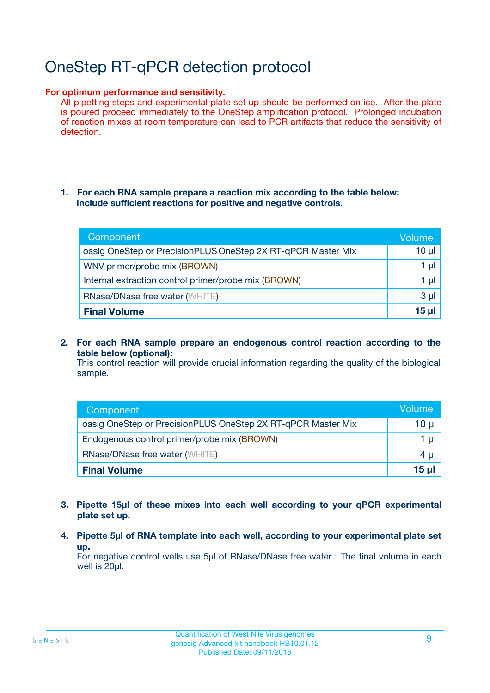## OneStep RT-qPCR detection protocol

#### **For optimum performance and sensitivity.**

All pipetting steps and experimental plate set up should be performed on ice. After the plate is poured proceed immediately to the OneStep amplification protocol. Prolonged incubation of reaction mixes at room temperature can lead to PCR artifacts that reduce the sensitivity of detection.

#### **1. For each RNA sample prepare a reaction mix according to the table below: Include sufficient reactions for positive and negative controls.**

| Component                                                    | <b>Volume</b> |
|--------------------------------------------------------------|---------------|
| oasig OneStep or PrecisionPLUS OneStep 2X RT-qPCR Master Mix | $10 \mu$      |
| WNV primer/probe mix (BROWN)                                 | 1 µI          |
| Internal extraction control primer/probe mix (BROWN)         | 1 µl          |
| <b>RNase/DNase free water (WHITE)</b>                        | $3 \mu$       |
| <b>Final Volume</b>                                          | 15 µl         |

**2. For each RNA sample prepare an endogenous control reaction according to the table below (optional):**

This control reaction will provide crucial information regarding the quality of the biological sample.

| Component                                                    | Volume   |
|--------------------------------------------------------------|----------|
| oasig OneStep or PrecisionPLUS OneStep 2X RT-qPCR Master Mix | 10 $\mu$ |
| Endogenous control primer/probe mix (BROWN)                  | 1 ul     |
| <b>RNase/DNase free water (WHITE)</b>                        | $4 \mu$  |
| <b>Final Volume</b>                                          | 15 µl    |

- **3. Pipette 15µl of these mixes into each well according to your qPCR experimental plate set up.**
- **4. Pipette 5µl of RNA template into each well, according to your experimental plate set up.**

For negative control wells use 5µl of RNase/DNase free water. The final volume in each well is 20µl.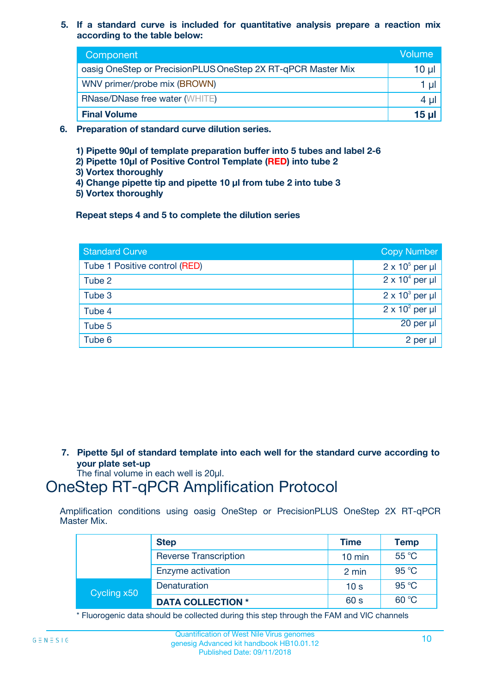**5. If a standard curve is included for quantitative analysis prepare a reaction mix according to the table below:**

| Component                                                    | Volume       |
|--------------------------------------------------------------|--------------|
| oasig OneStep or PrecisionPLUS OneStep 2X RT-qPCR Master Mix | 10 µl        |
| WNV primer/probe mix (BROWN)                                 |              |
| <b>RNase/DNase free water (WHITE)</b>                        | 4 µl         |
| <b>Final Volume</b>                                          | <u>15 µl</u> |

- **6. Preparation of standard curve dilution series.**
	- **1) Pipette 90µl of template preparation buffer into 5 tubes and label 2-6**
	- **2) Pipette 10µl of Positive Control Template (RED) into tube 2**
	- **3) Vortex thoroughly**
	- **4) Change pipette tip and pipette 10 µl from tube 2 into tube 3**
	- **5) Vortex thoroughly**

**Repeat steps 4 and 5 to complete the dilution series**

| <b>Standard Curve</b>         | <b>Copy Number</b>     |
|-------------------------------|------------------------|
| Tube 1 Positive control (RED) | $2 \times 10^5$ per µl |
| Tube 2                        | $2 \times 10^4$ per µl |
| Tube 3                        | $2 \times 10^3$ per µl |
| Tube 4                        | $2 \times 10^2$ per µl |
| Tube 5                        | 20 per µl              |
| Tube 6                        | 2 per µl               |

**7. Pipette 5µl of standard template into each well for the standard curve according to your plate set-up**

The final volume in each well is 20µl.

### OneStep RT-qPCR Amplification Protocol

Amplification conditions using oasig OneStep or PrecisionPLUS OneStep 2X RT-qPCR Master Mix.

|             | <b>Step</b>                  | <b>Time</b>      | Temp  |
|-------------|------------------------------|------------------|-------|
|             | <b>Reverse Transcription</b> | $10 \text{ min}$ | 55 °C |
|             | Enzyme activation            | 2 min            | 95 °C |
| Cycling x50 | Denaturation                 | 10 <sub>s</sub>  | 95 °C |
|             | <b>DATA COLLECTION *</b>     | 60 s             | 60 °C |

\* Fluorogenic data should be collected during this step through the FAM and VIC channels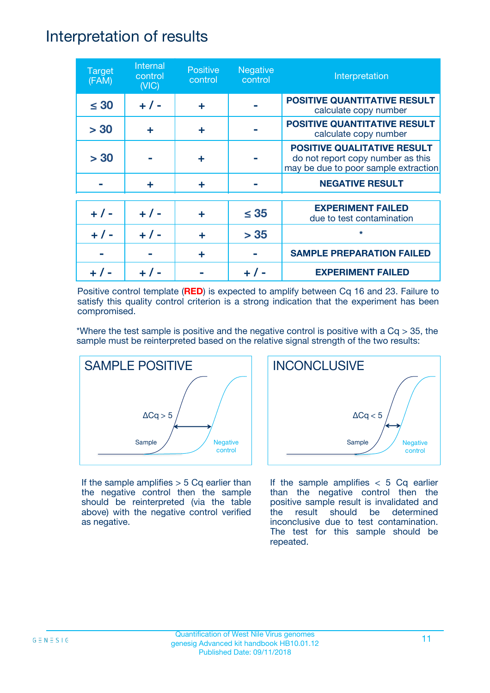### Interpretation of results

| <b>Target</b><br>(FAM) | Internal<br>control<br>(NIC) | <b>Positive</b><br>control | <b>Negative</b><br>control | Interpretation                                                                                                  |
|------------------------|------------------------------|----------------------------|----------------------------|-----------------------------------------------------------------------------------------------------------------|
| $\leq 30$              | $+ 1 -$                      | ÷                          |                            | <b>POSITIVE QUANTITATIVE RESULT</b><br>calculate copy number                                                    |
| > 30                   | ÷                            | ÷                          |                            | <b>POSITIVE QUANTITATIVE RESULT</b><br>calculate copy number                                                    |
| > 30                   |                              | ÷                          |                            | <b>POSITIVE QUALITATIVE RESULT</b><br>do not report copy number as this<br>may be due to poor sample extraction |
|                        | ÷                            | ÷                          |                            | <b>NEGATIVE RESULT</b>                                                                                          |
| $+ 1 -$                | $+ 1 -$                      | ÷                          | $\leq$ 35                  | <b>EXPERIMENT FAILED</b><br>due to test contamination                                                           |
|                        | $+ 1 -$                      |                            | > 35                       | $\star$                                                                                                         |
|                        |                              | ÷                          |                            | <b>SAMPLE PREPARATION FAILED</b>                                                                                |
|                        |                              |                            |                            | <b>EXPERIMENT FAILED</b>                                                                                        |

Positive control template (**RED**) is expected to amplify between Cq 16 and 23. Failure to satisfy this quality control criterion is a strong indication that the experiment has been compromised.

\*Where the test sample is positive and the negative control is positive with a  $Cq > 35$ , the sample must be reinterpreted based on the relative signal strength of the two results:



If the sample amplifies  $> 5$  Cq earlier than the negative control then the sample should be reinterpreted (via the table above) with the negative control verified as negative.



If the sample amplifies  $< 5$  Cq earlier than the negative control then the positive sample result is invalidated and the result should be determined inconclusive due to test contamination. The test for this sample should be repeated.